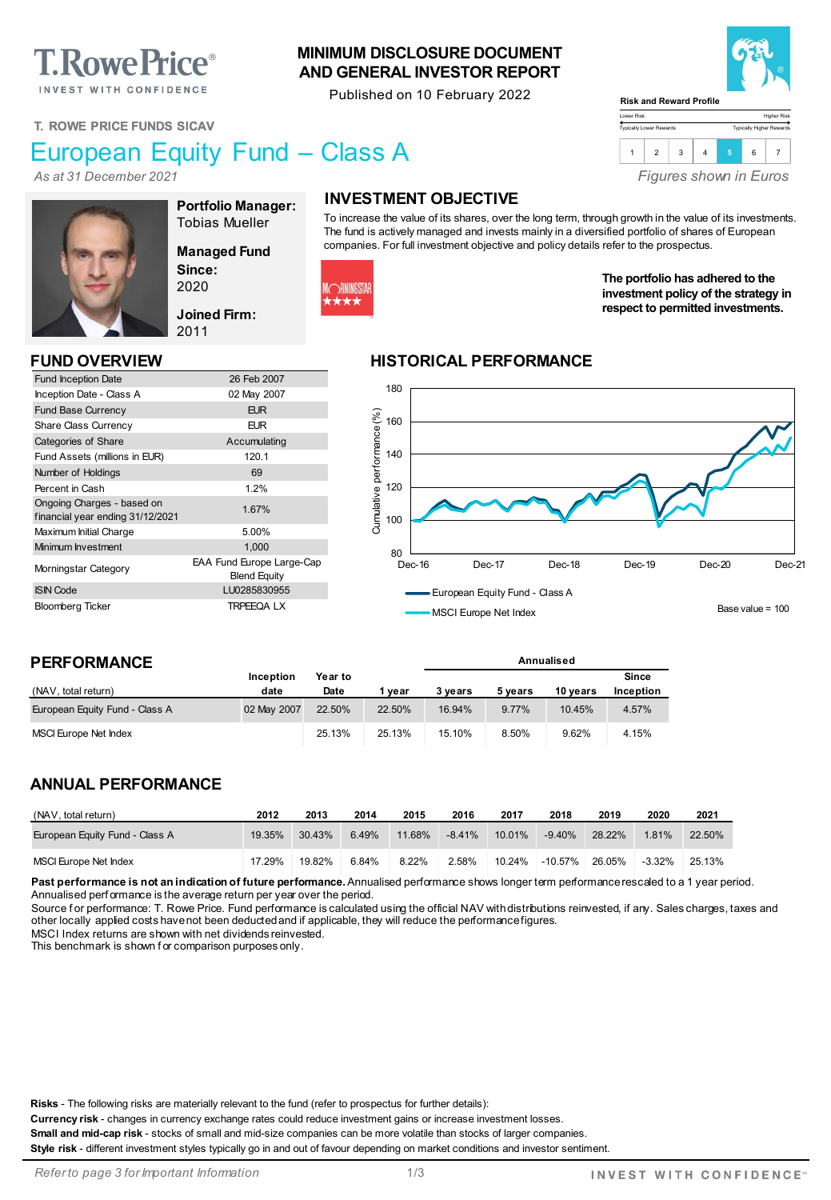# **T. Rowe Price**®

INVEST WITH CONFIDENCE

#### **MINIMUM DISCLOSURE DOCUMENT AND GENERAL INVESTOR REPORT**

Published on 10 February 2022



Higher Risk Typically Higher Rewards

*Figures shown in Euros*

**The portfolio has adhered to the investment policy of the strategy in respect to permitted investments.**

 $1 \mid 2 \mid 3 \mid 4 \mid 5 \mid 6 \mid 7 \mid$ 

Lower Risk Typically Lower Rewards

**T. ROWE PRICE FUNDS SICAV**

## European Equity Fund – Class A

*As at 31 December 2021*



**Portfolio Manager:** Tobias Mueller

**Managed Fund Since:** 2020

**Joined Firm:** 2011

| <b>Fund Inception Date</b>                                     | 26 Feb 2007                                      |
|----------------------------------------------------------------|--------------------------------------------------|
| Inception Date - Class A                                       | 02 May 2007                                      |
| <b>Fund Base Currency</b>                                      | <b>EUR</b>                                       |
| <b>Share Class Currency</b>                                    | <b>EUR</b>                                       |
| Categories of Share                                            | Accumulating                                     |
| Fund Assets (millions in EUR)                                  | 120.1                                            |
| Number of Holdings                                             | 69                                               |
| Percent in Cash                                                | 1.2%                                             |
| Ongoing Charges - based on<br>financial year ending 31/12/2021 | 1.67%                                            |
| Maximum Initial Charge                                         | 5.00%                                            |
| Minimum Investment                                             | 1.000                                            |
| Morningstar Category                                           | EAA Fund Europe Large-Cap<br><b>Blend Equity</b> |
| <b>ISIN Code</b>                                               | LU0285830955                                     |
| <b>Bloomberg Ticker</b>                                        | <b>TRPEEQALX</b>                                 |
|                                                                |                                                  |

#### **INVESTMENT OBJECTIVE**

To increase the value of its shares, over the long term, through growth in the value of its investments. The fund is actively managed and invests mainly in a diversified portfolio of shares of European companies. For full investment objective and policy details refer to the prospectus.



#### **FUND OVERVIEW HISTORICAL PERFORMANCE**



**Annualised**

MSCI Europe Net Index

#### **PERFORMANCE**

|                                | Inception   | Year to |        |         |         |          | Since            |
|--------------------------------|-------------|---------|--------|---------|---------|----------|------------------|
| (NAV, total return)            | date        | Date    | 1 vear | 3 vears | 5 vears | 10 vears | <b>Inception</b> |
| European Equity Fund - Class A | 02 May 2007 | 22.50%  | 22.50% | 16.94%  | 9.77%   | 10.45%   | 4.57%            |
| MSCI Europe Net Index          |             | 25.13%  | 25.13% | 15.10%  | 8.50%   | 9.62%    | 4.15%            |

#### **ANNUAL PERFORMANCE**

| (NAV, total return)            | 2012   | 2013   | 2014  | 2015   | 2016     | 2017   | 2018      | 2019   | 2020     | 2021   |
|--------------------------------|--------|--------|-------|--------|----------|--------|-----------|--------|----------|--------|
| European Equity Fund - Class A | 19.35% | 30.43% | 6.49% | 11.68% | $-8.41%$ | 10.01% | $-9.40\%$ | 28.22% | 1.81%    | 22.50% |
| MSCI Europe Net Index          | 17.29% | 19.82% | 6.84% | 8.22%  | 2.58%    | 10.24% | -10.57%   | 26.05% | $-3.32%$ | 25.13% |

Past performance is not an indication of future performance. Annualised performance shows longer term performance rescaled to a 1 year period. Annualised perf ormance is the average return per year over the period.

Source for performance: T. Rowe Price. Fund performance is calculated using the official NAV with distributions reinvested, if any. Sales charges, taxes and other locally applied costs have not been deducted and if applicable, they will reduce the performance figures.

MSCI Index returns are shown with net dividends reinvested.

This benchmark is shown f or comparison purposes only.

**Risks** - The following risks are materially relevant to the fund (refer to prospectus for further details):

**Currency risk** - changes in currency exchange rates could reduce investment gains or increase investment losses.

**Small and mid-cap risk** - stocks of small and mid-size companies can be more volatile than stocks of larger companies. **Style risk** - different investment styles typically go in and out of favour depending on market conditions and investor sentiment.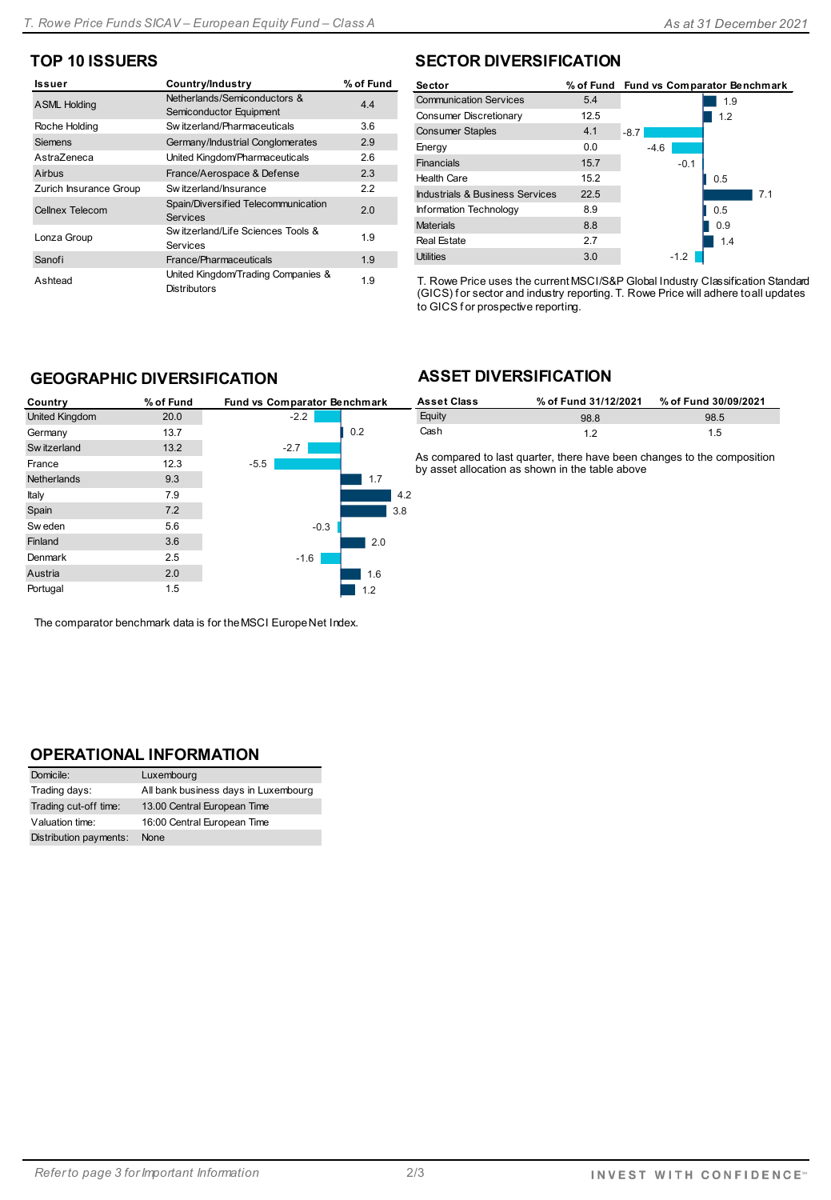#### **TOP 10 ISSUERS**

| Issuer                 | Country/Industry                                          | % of Fund |
|------------------------|-----------------------------------------------------------|-----------|
| <b>ASML Holding</b>    | Netherlands/Semiconductors &<br>Semiconductor Equipment   | 4.4       |
| Roche Holding          | Switzerland/Pharmaceuticals                               | 3.6       |
| <b>Siemens</b>         | Germany/Industrial Conglomerates                          | 2.9       |
| Astra7eneca            | United Kingdom/Pharmaceuticals                            | 2.6       |
| Airbus                 | France/Aerospace & Defense                                | 2.3       |
| Zurich Insurance Group | Sw itzerland/Insurance                                    | 2.2       |
| Cellnex Telecom        | Spain/Diversified Telecommunication<br><b>Services</b>    | 2.0       |
| Lonza Group            | Sw itzerland/Life Sciences Tools &<br>Services            | 1.9       |
| Sanofi                 | France/Pharmaceuticals                                    | 1.9       |
| Ashtead                | United Kingdom/Trading Companies &<br><b>Distributors</b> | 1.9       |

#### **SECTOR DIVERSIFICATION**

| Sector                          |      | % of Fund Fund vs Comparator Benchmark |
|---------------------------------|------|----------------------------------------|
| <b>Communication Services</b>   | 5.4  | 1.9                                    |
| Consumer Discretionary          | 12.5 | 1.2                                    |
| <b>Consumer Staples</b>         | 4.1  | $-8.7$                                 |
| Energy                          | 0.0  | $-4.6$                                 |
| Financials                      | 15.7 | $-0.1$                                 |
| <b>Health Care</b>              | 15.2 | 0.5                                    |
| Industrials & Business Services | 22.5 | 7.1                                    |
| Information Technology          | 8.9  | 0.5                                    |
| <b>Materials</b>                | 8.8  | 0.9                                    |
| <b>Real Estate</b>              | 2.7  | 1.4                                    |
| <b>Utilities</b>                | 3.0  | $-1.2$                                 |

T. Rowe Price uses the current MSCI/S&P Global Industry Classification Standard (GICS) f or sector and industry reporting. T. Rowe Price will adhere to all updates to GICS f or prospective reporting.

#### **GEOGRAPHIC DIVERSIFICATION**

| Country               | % of Fund | Fund vs Comparator Benchmark |     |
|-----------------------|-----------|------------------------------|-----|
| <b>United Kingdom</b> | 20.0      | $-2.2$                       |     |
| Germany               | 13.7      | 0.2                          |     |
| Sw itzerland          | 13.2      | $-2.7$                       |     |
| France                | 12.3      | $-5.5$                       |     |
| <b>Netherlands</b>    | 9.3       | 1.7                          |     |
| Italy                 | 7.9       |                              | 4.2 |
| Spain                 | 7.2       | 3.8                          |     |
| Sw eden               | 5.6       | $-0.3$                       |     |
| Finland               | 3.6       | 2.0                          |     |
| Denmark               | 2.5       | $-1.6$                       |     |
| Austria               | 2.0       | 1.6                          |     |
| Portugal              | 1.5       | 1.2                          |     |

The comparator benchmark data is for the MSCI Europe Net Index.

### **ASSET DIVERSIFICATION**

| k | <b>Asset Class</b> | % of Fund 31/12/2021 | % of Fund 30/09/2021 |
|---|--------------------|----------------------|----------------------|
|   | Eauity             | 98.8                 | 98.5                 |
|   | Cash               |                      | 1.5                  |

As compared to last quarter, there have been changes to the composition by asset allocation as shown in the table above

#### **OPERATIONAL INFORMATION**

| Domicile:              | Luxembourg                           |
|------------------------|--------------------------------------|
| Trading days:          | All bank business days in Luxembourg |
| Trading cut-off time:  | 13.00 Central European Time          |
| Valuation time:        | 16:00 Central European Time          |
| Distribution payments: | None                                 |